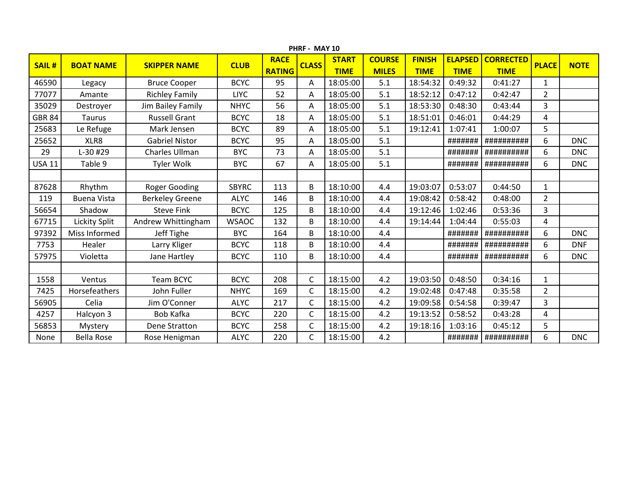|               | PHRF - MAY 10      |                        |              |               |              |              |               |               |                |                  |                |             |  |  |
|---------------|--------------------|------------------------|--------------|---------------|--------------|--------------|---------------|---------------|----------------|------------------|----------------|-------------|--|--|
| <b>SAIL#</b>  | <b>BOAT NAME</b>   | <b>SKIPPER NAME</b>    | <b>CLUB</b>  | <b>RACE</b>   | <b>CLASS</b> | <b>START</b> | <b>COURSE</b> | <b>FINISH</b> | <b>ELAPSED</b> | <b>CORRECTED</b> | <b>PLACE</b>   | <b>NOTE</b> |  |  |
|               |                    |                        |              | <b>RATING</b> |              | <b>TIME</b>  | <b>MILES</b>  | <b>TIME</b>   | <b>TIME</b>    | <b>TIME</b>      |                |             |  |  |
| 46590         | Legacy             | <b>Bruce Cooper</b>    | <b>BCYC</b>  | 95            | A            | 18:05:00     | 5.1           | 18:54:32      | 0:49:32        | 0:41:27          | 1              |             |  |  |
| 77077         | Amante             | <b>Richley Family</b>  | <b>LIYC</b>  | 52            | Α            | 18:05:00     | 5.1           | 18:52:12      | 0:47:12        | 0:42:47          | $\overline{2}$ |             |  |  |
| 35029         | Destroyer          | Jim Bailey Family      | <b>NHYC</b>  | 56            | A            | 18:05:00     | 5.1           | 18:53:30      | 0:48:30        | 0:43:44          | 3              |             |  |  |
| <b>GBR 84</b> | <b>Taurus</b>      | <b>Russell Grant</b>   | <b>BCYC</b>  | 18            | A            | 18:05:00     | 5.1           | 18:51:01      | 0:46:01        | 0:44:29          | 4              |             |  |  |
| 25683         | Le Refuge          | Mark Jensen            | <b>BCYC</b>  | 89            | A            | 18:05:00     | 5.1           | 19:12:41      | 1:07:41        | 1:00:07          | 5              |             |  |  |
| 25652         | XLR8               | <b>Gabriel Nistor</b>  | <b>BCYC</b>  | 95            | Α            | 18:05:00     | 5.1           |               | #######        | ##########       | 6              | <b>DNC</b>  |  |  |
| 29            | L-30 #29           | Charles Ullman         | <b>BYC</b>   | 73            | A            | 18:05:00     | 5.1           |               | #######        | ##########       | 6              | <b>DNC</b>  |  |  |
| <b>USA 11</b> | Table 9            | <b>Tyler Wolk</b>      | <b>BYC</b>   | 67            | Α            | 18:05:00     | 5.1           |               | #######        | ##########       | 6              | <b>DNC</b>  |  |  |
|               |                    |                        |              |               |              |              |               |               |                |                  |                |             |  |  |
| 87628         | Rhythm             | <b>Roger Gooding</b>   | <b>SBYRC</b> | 113           | B            | 18:10:00     | 4.4           | 19:03:07      | 0:53:07        | 0:44:50          | $\mathbf{1}$   |             |  |  |
| 119           | <b>Buena Vista</b> | <b>Berkeley Greene</b> | <b>ALYC</b>  | 146           | B            | 18:10:00     | 4.4           | 19:08:42      | 0:58:42        | 0:48:00          | $\overline{2}$ |             |  |  |
| 56654         | Shadow             | <b>Steve Fink</b>      | <b>BCYC</b>  | 125           | B            | 18:10:00     | 4.4           | 19:12:46      | 1:02:46        | 0:53:36          | 3              |             |  |  |
| 67715         | Lickity Split      | Andrew Whittingham     | <b>WSAOC</b> | 132           | B            | 18:10:00     | 4.4           | 19:14:44      | 1:04:44        | 0:55:03          | 4              |             |  |  |
| 97392         | Miss Informed      | Jeff Tighe             | <b>BYC</b>   | 164           | B            | 18:10:00     | 4.4           |               | #######        | ##########       | 6              | <b>DNC</b>  |  |  |
| 7753          | Healer             | Larry Kliger           | <b>BCYC</b>  | 118           | B            | 18:10:00     | 4.4           |               | #######        | ##########       | 6              | <b>DNF</b>  |  |  |
| 57975         | Violetta           | Jane Hartley           | <b>BCYC</b>  | 110           | B            | 18:10:00     | 4.4           |               | #######        | ##########       | 6              | <b>DNC</b>  |  |  |
|               |                    |                        |              |               |              |              |               |               |                |                  |                |             |  |  |
| 1558          | Ventus             | <b>Team BCYC</b>       | <b>BCYC</b>  | 208           | $\mathsf{C}$ | 18:15:00     | 4.2           | 19:03:50      | 0:48:50        | 0:34:16          | $\mathbf{1}$   |             |  |  |
| 7425          | Horsefeathers      | John Fuller            | <b>NHYC</b>  | 169           | $\mathsf{C}$ | 18:15:00     | 4.2           | 19:02:48      | 0:47:48        | 0:35:58          | $\overline{2}$ |             |  |  |
| 56905         | Celia              | Jim O'Conner           | <b>ALYC</b>  | 217           | $\mathsf{C}$ | 18:15:00     | 4.2           | 19:09:58      | 0:54:58        | 0:39:47          | 3              |             |  |  |
| 4257          | Halcyon 3          | <b>Bob Kafka</b>       | <b>BCYC</b>  | 220           | $\mathsf{C}$ | 18:15:00     | 4.2           | 19:13:52      | 0:58:52        | 0:43:28          | 4              |             |  |  |
| 56853         | Mystery            | Dene Stratton          | <b>BCYC</b>  | 258           | $\mathsf{C}$ | 18:15:00     | 4.2           | 19:18:16      | 1:03:16        | 0:45:12          | 5              |             |  |  |
| None          | <b>Bella Rose</b>  | Rose Henigman          | <b>ALYC</b>  | 220           | C            | 18:15:00     | 4.2           |               | #######        | ##########       | 6              | <b>DNC</b>  |  |  |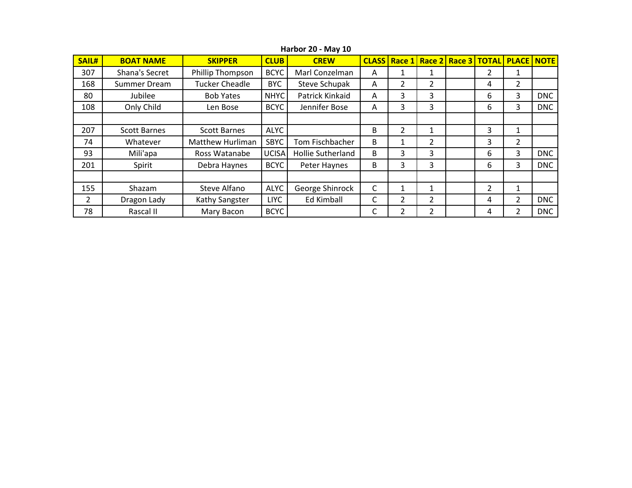| SAIL#          | <b>BOAT NAME</b>    | <b>SKIPPER</b>          | <b>CLUB</b> | <b>CLASS</b><br><b>CREW</b> |   |               |                | Race 1 Race 2 Race 3 |   | <b>TOTAL PLACE NOTE</b> |            |
|----------------|---------------------|-------------------------|-------------|-----------------------------|---|---------------|----------------|----------------------|---|-------------------------|------------|
| 307            | Shana's Secret      | Phillip Thompson        | <b>BCYC</b> | Marl Conzelman              | Α |               | 1              |                      | 2 | 1                       |            |
| 168            | Summer Dream        | <b>Tucker Cheadle</b>   | <b>BYC</b>  | <b>Steve Schupak</b>        | A | 2             | 2              |                      | 4 | $\overline{2}$          |            |
| 80             | Jubilee             | <b>Bob Yates</b>        | NHYC        | Patrick Kinkaid             | A | 3             | 3              |                      | 6 | 3                       | <b>DNC</b> |
| 108            | Only Child          | Len Bose                | <b>BCYC</b> | Jennifer Bose               | A | 3             | 3              |                      | 6 | 3                       | <b>DNC</b> |
|                |                     |                         |             |                             |   |               |                |                      |   |                         |            |
| 207            | <b>Scott Barnes</b> | <b>Scott Barnes</b>     | <b>ALYC</b> |                             | B | 2             | 1              |                      | 3 | $\mathbf{1}$            |            |
| 74             | Whatever            | <b>Matthew Hurliman</b> | <b>SBYC</b> | Tom Fischbacher             | B |               | $\mathfrak z$  |                      | 3 | $\mathcal{P}$           |            |
| 93             | Mili'apa            | Ross Watanabe           | UCISA       | <b>Hollie Sutherland</b>    | B | 3             | 3              |                      | 6 | 3                       | <b>DNC</b> |
| 201            | Spirit              | Debra Haynes            | <b>BCYC</b> | Peter Haynes                | B | 3             | 3              |                      | 6 | 3                       | <b>DNC</b> |
|                |                     |                         |             |                             |   |               |                |                      |   |                         |            |
| 155            | Shazam              | Steve Alfano            | <b>ALYC</b> | George Shinrock             | C |               | 1              |                      | 2 | $\mathbf{1}$            |            |
| $\overline{2}$ | Dragon Lady         | Kathy Sangster          | <b>LIYC</b> | Ed Kimball                  | C | $\mathcal{P}$ | $\overline{2}$ |                      | 4 | 2                       | <b>DNC</b> |
| 78             | Rascal II           | Mary Bacon              | <b>BCYC</b> |                             | С |               | 2              |                      | 4 | 2                       | <b>DNC</b> |

**Harbor 20 - May 10**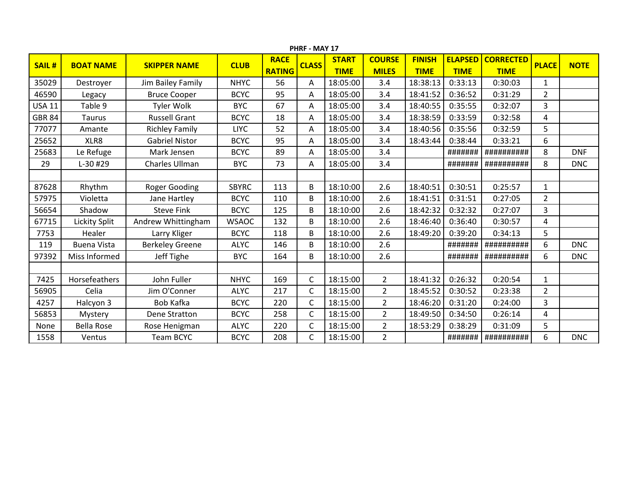|               | PHRF - MAY 17        |                        |              |               |              |              |                |               |                |                  |                |             |  |  |
|---------------|----------------------|------------------------|--------------|---------------|--------------|--------------|----------------|---------------|----------------|------------------|----------------|-------------|--|--|
| <b>SAIL#</b>  | <b>BOAT NAME</b>     | <b>SKIPPER NAME</b>    | <b>CLUB</b>  | <b>RACE</b>   | <b>CLASS</b> | <b>START</b> | <b>COURSE</b>  | <b>FINISH</b> | <b>ELAPSED</b> | <b>CORRECTED</b> | <b>PLACE</b>   | <b>NOTE</b> |  |  |
|               |                      |                        |              | <b>RATING</b> |              | <b>TIME</b>  | <b>MILES</b>   | <b>TIME</b>   | <b>TIME</b>    | <b>TIME</b>      |                |             |  |  |
| 35029         | Destroyer            | Jim Bailey Family      | <b>NHYC</b>  | 56            | A            | 18:05:00     | 3.4            | 18:38:13      | 0:33:13        | 0:30:03          | 1              |             |  |  |
| 46590         | Legacy               | <b>Bruce Cooper</b>    | <b>BCYC</b>  | 95            | Α            | 18:05:00     | 3.4            | 18:41:52      | 0:36:52        | 0:31:29          | $\overline{2}$ |             |  |  |
| <b>USA 11</b> | Table 9              | <b>Tyler Wolk</b>      | <b>BYC</b>   | 67            | Α            | 18:05:00     | 3.4            | 18:40:55      | 0:35:55        | 0:32:07          | 3              |             |  |  |
| <b>GBR 84</b> | Taurus               | <b>Russell Grant</b>   | <b>BCYC</b>  | 18            | A            | 18:05:00     | 3.4            | 18:38:59      | 0:33:59        | 0:32:58          | 4              |             |  |  |
| 77077         | Amante               | <b>Richley Family</b>  | <b>LIYC</b>  | 52            | Α            | 18:05:00     | 3.4            | 18:40:56      | 0:35:56        | 0:32:59          | 5              |             |  |  |
| 25652         | XLR8                 | <b>Gabriel Nistor</b>  | <b>BCYC</b>  | 95            | A            | 18:05:00     | 3.4            | 18:43:44      | 0:38:44        | 0:33:21          | 6              |             |  |  |
| 25683         | Le Refuge            | Mark Jensen            | <b>BCYC</b>  | 89            | A            | 18:05:00     | 3.4            |               | #######        | ##########       | 8              | <b>DNF</b>  |  |  |
| 29            | L-30 #29             | Charles Ullman         | <b>BYC</b>   | 73            | Α            | 18:05:00     | 3.4            |               | #######        | ##########       | 8              | <b>DNC</b>  |  |  |
|               |                      |                        |              |               |              |              |                |               |                |                  |                |             |  |  |
| 87628         | Rhythm               | Roger Gooding          | <b>SBYRC</b> | 113           | B            | 18:10:00     | 2.6            | 18:40:51      | 0:30:51        | 0:25:57          | $\mathbf{1}$   |             |  |  |
| 57975         | Violetta             | Jane Hartley           | <b>BCYC</b>  | 110           | B            | 18:10:00     | 2.6            | 18:41:51      | 0:31:51        | 0:27:05          | $\overline{2}$ |             |  |  |
| 56654         | Shadow               | <b>Steve Fink</b>      | <b>BCYC</b>  | 125           | B            | 18:10:00     | 2.6            | 18:42:32      | 0:32:32        | 0:27:07          | 3              |             |  |  |
| 67715         | <b>Lickity Split</b> | Andrew Whittingham     | <b>WSAOC</b> | 132           | B            | 18:10:00     | 2.6            | 18:46:40      | 0:36:40        | 0:30:57          | 4              |             |  |  |
| 7753          | Healer               | Larry Kliger           | <b>BCYC</b>  | 118           | B            | 18:10:00     | 2.6            | 18:49:20      | 0:39:20        | 0:34:13          | 5              |             |  |  |
| 119           | <b>Buena Vista</b>   | <b>Berkeley Greene</b> | <b>ALYC</b>  | 146           | B            | 18:10:00     | 2.6            |               | #######        | ##########       | 6              | <b>DNC</b>  |  |  |
| 97392         | Miss Informed        | Jeff Tighe             | <b>BYC</b>   | 164           | B            | 18:10:00     | 2.6            |               | #######        | ##########       | 6              | <b>DNC</b>  |  |  |
|               |                      |                        |              |               |              |              |                |               |                |                  |                |             |  |  |
| 7425          | Horsefeathers        | John Fuller            | <b>NHYC</b>  | 169           | $\mathsf{C}$ | 18:15:00     | $\overline{2}$ | 18:41:32      | 0:26:32        | 0:20:54          | $\mathbf{1}$   |             |  |  |
| 56905         | Celia                | Jim O'Conner           | <b>ALYC</b>  | 217           | $\mathsf{C}$ | 18:15:00     | $\overline{2}$ | 18:45:52      | 0:30:52        | 0:23:38          | $\overline{2}$ |             |  |  |
| 4257          | Halcyon 3            | <b>Bob Kafka</b>       | <b>BCYC</b>  | 220           | $\mathsf{C}$ | 18:15:00     | $\overline{2}$ | 18:46:20      | 0:31:20        | 0:24:00          | 3              |             |  |  |
| 56853         | Mystery              | Dene Stratton          | <b>BCYC</b>  | 258           | C            | 18:15:00     | $\overline{2}$ | 18:49:50      | 0:34:50        | 0:26:14          | 4              |             |  |  |
| None          | <b>Bella Rose</b>    | Rose Henigman          | <b>ALYC</b>  | 220           | $\mathsf{C}$ | 18:15:00     | $\overline{2}$ | 18:53:29      | 0:38:29        | 0:31:09          | 5              |             |  |  |
| 1558          | Ventus               | <b>Team BCYC</b>       | <b>BCYC</b>  | 208           | $\mathsf{C}$ | 18:15:00     | $\overline{2}$ |               | #######        | ##########       | 6              | <b>DNC</b>  |  |  |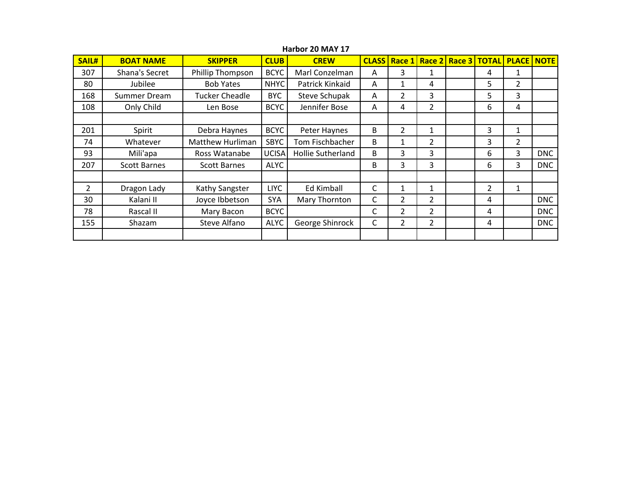| <b>SAIL#</b>   | <b>BOAT NAME</b>    | <b>SKIPPER</b>        | <b>CLUB</b>  | <b>CREW</b>       | <b>CLASS</b> | Race 1         |                | Race 2 Race 3 | <b>TOTAL</b>   | <b>PLACE NOTE</b> |            |
|----------------|---------------------|-----------------------|--------------|-------------------|--------------|----------------|----------------|---------------|----------------|-------------------|------------|
| 307            | Shana's Secret      | Phillip Thompson      | <b>BCYC</b>  | Marl Conzelman    | Α            | 3              |                |               | 4              |                   |            |
| 80             | Jubilee             | <b>Bob Yates</b>      | <b>NHYC</b>  | Patrick Kinkaid   | A            | $\mathbf{1}$   | 4              |               | 5              | $\overline{2}$    |            |
| 168            | Summer Dream        | <b>Tucker Cheadle</b> | <b>BYC</b>   | Steve Schupak     | Α            | $\overline{2}$ | 3              |               | 5              | 3                 |            |
| 108            | Only Child          | Len Bose              | <b>BCYC</b>  | Jennifer Bose     | A            | 4              | 2              |               | 6              | 4                 |            |
|                |                     |                       |              |                   |              |                |                |               |                |                   |            |
| 201            | Spirit              | Debra Haynes          | <b>BCYC</b>  | Peter Haynes      | B            | $\overline{2}$ | 1              |               | 3              | 1                 |            |
| 74             | Whatever            | Matthew Hurliman      | <b>SBYC</b>  | Tom Fischbacher   | B            | $\mathbf{1}$   | 2              |               | 3              | $\overline{2}$    |            |
| 93             | Mili'apa            | Ross Watanabe         | <b>UCISA</b> | Hollie Sutherland | B            | 3              | 3              |               | 6              | 3                 | <b>DNC</b> |
| 207            | <b>Scott Barnes</b> | <b>Scott Barnes</b>   | <b>ALYC</b>  |                   | B            | 3              | 3              |               | 6              | 3                 | <b>DNC</b> |
|                |                     |                       |              |                   |              |                |                |               |                |                   |            |
| $\overline{2}$ | Dragon Lady         | Kathy Sangster        | <b>LIYC</b>  | Ed Kimball        | C            | 1              | 1              |               | $\overline{2}$ | $\mathbf{1}$      |            |
| 30             | Kalani II           | Joyce Ibbetson        | <b>SYA</b>   | Mary Thornton     | C            | 2              | 2              |               | 4              |                   | <b>DNC</b> |
| 78             | Rascal II           | Mary Bacon            | <b>BCYC</b>  |                   | C            | $\overline{2}$ | $\overline{2}$ |               | 4              |                   | <b>DNC</b> |
| 155            | Shazam              | Steve Alfano          | <b>ALYC</b>  | George Shinrock   | C            | $\overline{2}$ | $\overline{2}$ |               | 4              |                   | <b>DNC</b> |
|                |                     |                       |              |                   |              |                |                |               |                |                   |            |

**Harbor 20 MAY 17**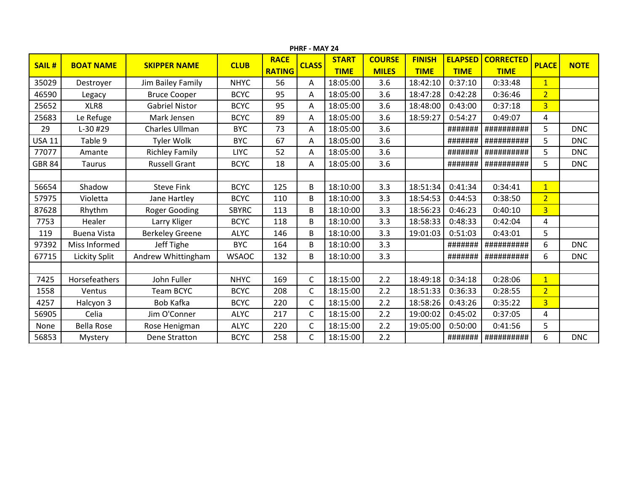|               | PHRF - MAY 24        |                        |              |               |              |              |               |               |                |                  |                |             |  |  |
|---------------|----------------------|------------------------|--------------|---------------|--------------|--------------|---------------|---------------|----------------|------------------|----------------|-------------|--|--|
| <b>SAIL#</b>  | <b>BOAT NAME</b>     | <b>SKIPPER NAME</b>    | <b>CLUB</b>  | <b>RACE</b>   | <b>CLASS</b> | <b>START</b> | <b>COURSE</b> | <b>FINISH</b> | <b>ELAPSED</b> | <b>CORRECTED</b> | <b>PLACE</b>   | <b>NOTE</b> |  |  |
|               |                      |                        |              | <b>RATING</b> |              | <b>TIME</b>  | <b>MILES</b>  | <b>TIME</b>   | <b>TIME</b>    | <b>TIME</b>      |                |             |  |  |
| 35029         | Destroyer            | Jim Bailey Family      | <b>NHYC</b>  | 56            | A            | 18:05:00     | 3.6           | 18:42:10      | 0:37:10        | 0:33:48          | $\mathbf{1}$   |             |  |  |
| 46590         | Legacy               | <b>Bruce Cooper</b>    | <b>BCYC</b>  | 95            | Α            | 18:05:00     | 3.6           | 18:47:28      | 0:42:28        | 0:36:46          | $\overline{2}$ |             |  |  |
| 25652         | XLR8                 | <b>Gabriel Nistor</b>  | <b>BCYC</b>  | 95            | A            | 18:05:00     | 3.6           | 18:48:00      | 0:43:00        | 0:37:18          | 3 <sup>2</sup> |             |  |  |
| 25683         | Le Refuge            | Mark Jensen            | <b>BCYC</b>  | 89            | A            | 18:05:00     | 3.6           | 18:59:27      | 0:54:27        | 0:49:07          | 4              |             |  |  |
| 29            | L-30 #29             | Charles Ullman         | <b>BYC</b>   | 73            | А            | 18:05:00     | 3.6           |               | #######        | ##########       | 5              | <b>DNC</b>  |  |  |
| <b>USA 11</b> | Table 9              | <b>Tyler Wolk</b>      | <b>BYC</b>   | 67            | A            | 18:05:00     | 3.6           |               | #######        | ##########       | 5              | <b>DNC</b>  |  |  |
| 77077         | Amante               | <b>Richley Family</b>  | <b>LIYC</b>  | 52            | Α            | 18:05:00     | 3.6           |               | #######        | ##########       | 5              | <b>DNC</b>  |  |  |
| <b>GBR 84</b> | <b>Taurus</b>        | <b>Russell Grant</b>   | <b>BCYC</b>  | 18            | A            | 18:05:00     | 3.6           |               | #######        | ##########       | 5              | <b>DNC</b>  |  |  |
|               |                      |                        |              |               |              |              |               |               |                |                  |                |             |  |  |
| 56654         | Shadow               | <b>Steve Fink</b>      | <b>BCYC</b>  | 125           | B            | 18:10:00     | 3.3           | 18:51:34      | 0:41:34        | 0:34:41          | $\mathbf{1}$   |             |  |  |
| 57975         | Violetta             | Jane Hartley           | <b>BCYC</b>  | 110           | B            | 18:10:00     | 3.3           | 18:54:53      | 0:44:53        | 0:38:50          | $\overline{2}$ |             |  |  |
| 87628         | Rhythm               | <b>Roger Gooding</b>   | <b>SBYRC</b> | 113           | B            | 18:10:00     | 3.3           | 18:56:23      | 0:46:23        | 0:40:10          | $\overline{3}$ |             |  |  |
| 7753          | Healer               | Larry Kliger           | <b>BCYC</b>  | 118           | B            | 18:10:00     | 3.3           | 18:58:33      | 0:48:33        | 0:42:04          | 4              |             |  |  |
| 119           | <b>Buena Vista</b>   | <b>Berkeley Greene</b> | <b>ALYC</b>  | 146           | B            | 18:10:00     | 3.3           | 19:01:03      | 0:51:03        | 0:43:01          | 5              |             |  |  |
| 97392         | Miss Informed        | Jeff Tighe             | <b>BYC</b>   | 164           | В            | 18:10:00     | 3.3           |               | #######        | ##########       | 6              | <b>DNC</b>  |  |  |
| 67715         | <b>Lickity Split</b> | Andrew Whittingham     | <b>WSAOC</b> | 132           | B            | 18:10:00     | 3.3           |               | #######        | ##########       | 6              | <b>DNC</b>  |  |  |
|               |                      |                        |              |               |              |              |               |               |                |                  |                |             |  |  |
| 7425          | Horsefeathers        | John Fuller            | <b>NHYC</b>  | 169           | $\mathsf{C}$ | 18:15:00     | 2.2           | 18:49:18      | 0:34:18        | 0:28:06          | $\mathbf{1}$   |             |  |  |
| 1558          | Ventus               | <b>Team BCYC</b>       | <b>BCYC</b>  | 208           | $\mathsf{C}$ | 18:15:00     | 2.2           | 18:51:33      | 0:36:33        | 0:28:55          | 2 <sup>1</sup> |             |  |  |
| 4257          | Halcyon 3            | <b>Bob Kafka</b>       | <b>BCYC</b>  | 220           | $\mathsf{C}$ | 18:15:00     | 2.2           | 18:58:26      | 0:43:26        | 0:35:22          | $\overline{3}$ |             |  |  |
| 56905         | Celia                | Jim O'Conner           | <b>ALYC</b>  | 217           | C            | 18:15:00     | 2.2           | 19:00:02      | 0:45:02        | 0:37:05          | 4              |             |  |  |
| None          | <b>Bella Rose</b>    | Rose Henigman          | <b>ALYC</b>  | 220           | $\mathsf{C}$ | 18:15:00     | 2.2           | 19:05:00      | 0:50:00        | 0:41:56          | 5              |             |  |  |
| 56853         | Mystery              | Dene Stratton          | <b>BCYC</b>  | 258           | C            | 18:15:00     | 2.2           |               | #######        | ##########       | 6              | <b>DNC</b>  |  |  |